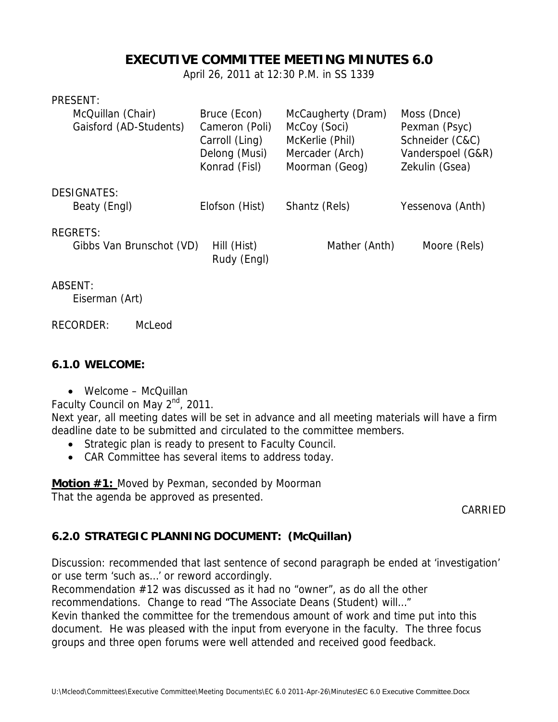# **EXECUTIVE COMMITTEE MEETING MINUTES 6.0**

April 26, 2011 at 12:30 P.M. in SS 1339

| <b>PRESENT</b> |  |
|----------------|--|
|                |  |

| McQuillan (Chair)<br>Gaisford (AD-Students) | Bruce (Econ)<br>Cameron (Poli)<br>Carroll (Ling)<br>Delong (Musi)<br>Konrad (Fisl) | McCaugherty (Dram)<br>McCoy (Soci)<br>McKerlie (Phil)<br>Mercader (Arch)<br>Moorman (Geog) | Moss (Dnce)<br>Pexman (Psyc)<br>Schneider (C&C)<br>Vanderspoel (G&R)<br>Zekulin (Gsea) |
|---------------------------------------------|------------------------------------------------------------------------------------|--------------------------------------------------------------------------------------------|----------------------------------------------------------------------------------------|
| <b>DESIGNATES:</b><br>Beaty (Engl)          | Elofson (Hist)                                                                     | Shantz (Rels)                                                                              | Yessenova (Anth)                                                                       |
| <b>REGRETS:</b><br>Gibbs Van Brunschot (VD) | Hill (Hist)<br>Rudy (Engl)                                                         | Mather (Anth)                                                                              | Moore (Rels)                                                                           |
|                                             |                                                                                    |                                                                                            |                                                                                        |

#### ABSENT:

Eiserman (Art)

#### RECORDER: McLeod

#### **6.1.0 WELCOME:**

• Welcome – McQuillan

Faculty Council on May 2<sup>nd</sup>, 2011.

Next year, all meeting dates will be set in advance and all meeting materials will have a firm deadline date to be submitted and circulated to the committee members.

- Strategic plan is ready to present to Faculty Council.
- CAR Committee has several items to address today.

**Motion #1:** Moved by Pexman, seconded by Moorman That the agenda be approved as presented.

CARRIED

## **6.2.0 STRATEGIC PLANNING DOCUMENT: (McQuillan)**

Discussion: recommended that last sentence of second paragraph be ended at 'investigation' or use term 'such as…' or reword accordingly.

Recommendation #12 was discussed as it had no "owner", as do all the other

recommendations. Change to read "The Associate Deans (Student) will…"

Kevin thanked the committee for the tremendous amount of work and time put into this document. He was pleased with the input from everyone in the faculty. The three focus groups and three open forums were well attended and received good feedback.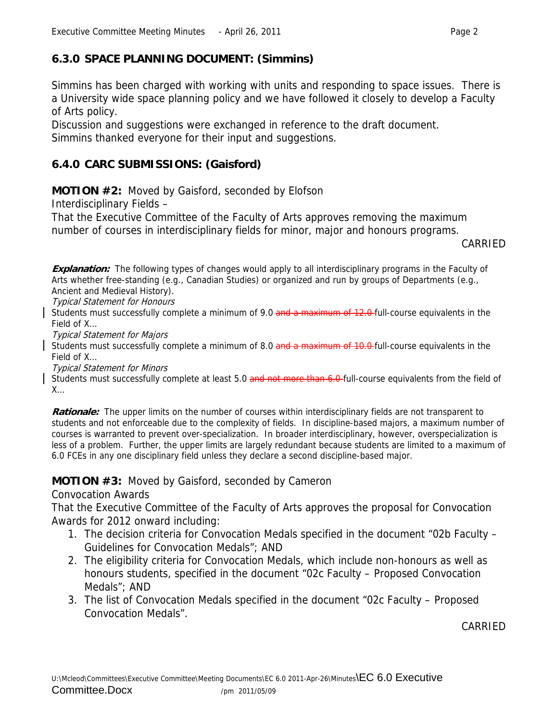# **6.3.0 SPACE PLANNING DOCUMENT: (Simmins)**

Simmins has been charged with working with units and responding to space issues. There is a University wide space planning policy and we have followed it closely to develop a Faculty of Arts policy.

Discussion and suggestions were exchanged in reference to the draft document. Simmins thanked everyone for their input and suggestions.

# **6.4.0 CARC SUBMISSIONS: (Gaisford)**

**MOTION #2:** Moved by Gaisford, seconded by Elofson

Interdisciplinary Fields –

That the Executive Committee of the Faculty of Arts approves removing the maximum number of courses in interdisciplinary fields for minor, major and honours programs.

CARRIED

**Explanation:** The following types of changes would apply to all interdisciplinary programs in the Faculty of Arts whether free-standing (e.g., Canadian Studies) or organized and run by groups of Departments (e.g., Ancient and Medieval History).

Typical Statement for Honours

Students must successfully complete a minimum of 9.0 and a maximum of 12.0 full-course equivalents in the Field of X…

Typical Statement for Majors

Students must successfully complete a minimum of 8.0 and a maximum of 10.0-full-course equivalents in the Field of X…

Typical Statement for Minors

Students must successfully complete at least 5.0 and not more than 6.0 full-course equivalents from the field of X…

**Rationale:** The upper limits on the number of courses within interdisciplinary fields are not transparent to students and not enforceable due to the complexity of fields. In discipline-based majors, a maximum number of courses is warranted to prevent over-specialization. In broader interdisciplinary, however, overspecialization is less of a problem. Further, the upper limits are largely redundant because students are limited to a maximum of 6.0 FCEs in any one disciplinary field unless they declare a second discipline-based major.

## **MOTION #3:** Moved by Gaisford, seconded by Cameron

Convocation Awards

That the Executive Committee of the Faculty of Arts approves the proposal for Convocation Awards for 2012 onward including:

- 1. The decision criteria for Convocation Medals specified in the document "02b Faculty Guidelines for Convocation Medals"; AND
- 2. The eligibility criteria for Convocation Medals, which include non-honours as well as honours students, specified in the document "02c Faculty – Proposed Convocation Medals"; AND
- 3. The list of Convocation Medals specified in the document "02c Faculty Proposed Convocation Medals".

CARRIED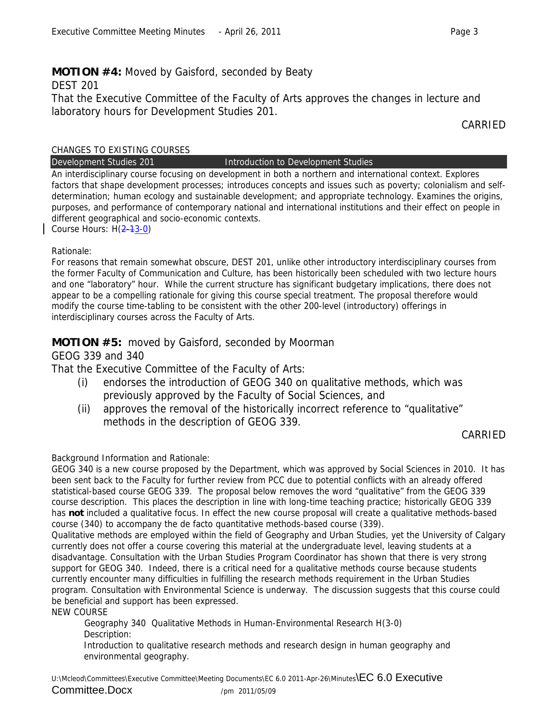# **MOTION #4:** Moved by Gaisford, seconded by Beaty

DEST 201

That the Executive Committee of the Faculty of Arts approves the changes in lecture and laboratory hours for Development Studies 201.

CARRIED

#### CHANGES TO EXISTING COURSES

Development Studies 201 **Introduction to Development Studies** 

An interdisciplinary course focusing on development in both a northern and international context. Explores factors that shape development processes; introduces concepts and issues such as poverty; colonialism and selfdetermination; human ecology and sustainable development; and appropriate technology. Examines the origins, purposes, and performance of contemporary national and international institutions and their effect on people in different geographical and socio-economic contexts.

Course Hours: H(2-13-0)

#### Rationale:

For reasons that remain somewhat obscure, DEST 201, unlike other introductory interdisciplinary courses from the former Faculty of Communication and Culture, has been historically been scheduled with two lecture hours and one "laboratory" hour. While the current structure has significant budgetary implications, there does not appear to be a compelling rationale for giving this course special treatment. The proposal therefore would modify the course time-tabling to be consistent with the other 200-level (introductory) offerings in interdisciplinary courses across the Faculty of Arts.

## **MOTION #5:** moved by Gaisford, seconded by Moorman

## GEOG 339 and 340

That the Executive Committee of the Faculty of Arts:

- (i) endorses the introduction of GEOG 340 on qualitative methods, which was previously approved by the Faculty of Social Sciences, and
- (ii) approves the removal of the historically incorrect reference to "qualitative" methods in the description of GEOG 339.

## CARRIED

## Background Information and Rationale:

GEOG 340 is a new course proposed by the Department, which was approved by Social Sciences in 2010. It has been sent back to the Faculty for further review from PCC due to potential conflicts with an already offered statistical-based course GEOG 339. The proposal below removes the word "qualitative" from the GEOG 339 course description. This places the description in line with long-time teaching practice; historically GEOG 339 has **not** included a qualitative focus. In effect the new course proposal will create a qualitative methods-based course (340) to accompany the de facto quantitative methods-based course (339).

Qualitative methods are employed within the field of Geography and Urban Studies, yet the University of Calgary currently does not offer a course covering this material at the undergraduate level, leaving students at a disadvantage. Consultation with the Urban Studies Program Coordinator has shown that there is very strong support for GEOG 340. Indeed, there is a critical need for a qualitative methods course because students currently encounter many difficulties in fulfilling the research methods requirement in the Urban Studies program. Consultation with Environmental Science is underway. The discussion suggests that this course could be beneficial and support has been expressed.

NEW COURSE

Geography 340 Qualitative Methods in Human-Environmental Research H(3-0) Description:

Introduction to qualitative research methods and research design in human geography and environmental geography.

U:\Mcleod\Committees\Executive Committee\Meeting Documents\EC 6.0 2011-Apr-26\Minutes\EC 6.0 Executive Committee.Docx /pm 2011/05/09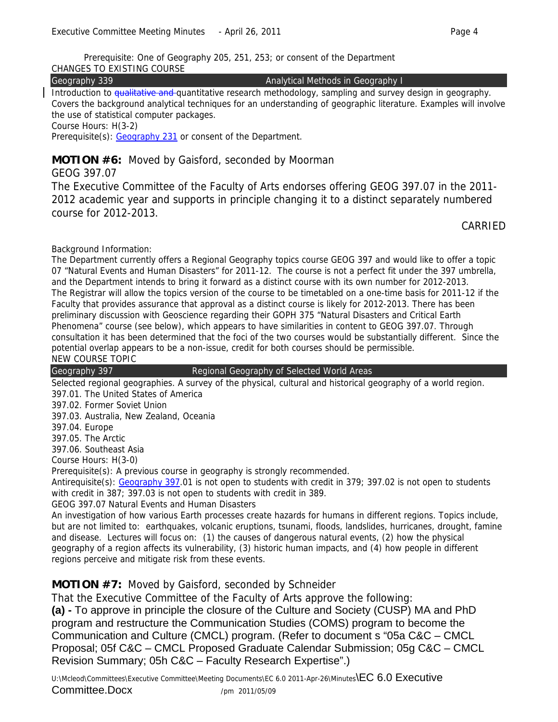Prerequisite: One of Geography 205, 251, 253; or consent of the Department

CHANGES TO EXISTING COURSE

Geography 339 **Analytical Methods in Geography I** 

Introduction to qualitative and quantitative research methodology, sampling and survey design in geography. Covers the background analytical techniques for an understanding of geographic literature. Examples will involve the use of statistical computer packages.

Course Hours: H(3-2)

Prerequisite(s): Geography 231 or consent of the Department.

## **MOTION #6:** Moved by Gaisford, seconded by Moorman

GEOG 397.07

The Executive Committee of the Faculty of Arts endorses offering GEOG 397.07 in the 2011- 2012 academic year and supports in principle changing it to a distinct separately numbered course for 2012-2013.

CARRIED

Background Information:

The Department currently offers a Regional Geography topics course GEOG 397 and would like to offer a topic 07 "Natural Events and Human Disasters" for 2011-12. The course is not a perfect fit under the 397 umbrella, and the Department intends to bring it forward as a distinct course with its own number for 2012-2013. The Registrar will allow the topics version of the course to be timetabled on a one-time basis for 2011-12 if the Faculty that provides assurance that approval as a distinct course is likely for 2012-2013. There has been preliminary discussion with Geoscience regarding their GOPH 375 "Natural Disasters and Critical Earth Phenomena" course (see below), which appears to have similarities in content to GEOG 397.07. Through consultation it has been determined that the foci of the two courses would be substantially different. Since the potential overlap appears to be a non-issue, credit for both courses should be permissible. NEW COURSE TOPIC

Geography 397 **Regional Geography of Selected World Areas** 

Selected regional geographies. A survey of the physical, cultural and historical geography of a world region. 397.01. The United States of America

397.02. Former Soviet Union

397.03. Australia, New Zealand, Oceania

397.04. Europe

397.05. The Arctic

397.06. Southeast Asia

Course Hours: H(3-0)

Prerequisite(s): A previous course in geography is strongly recommended.

Antirequisite(s): Geography 397.01 is not open to students with credit in 379; 397.02 is not open to students with credit in 387; 397.03 is not open to students with credit in 389.

GEOG 397.07 Natural Events and Human Disasters

An investigation of how various Earth processes create hazards for humans in different regions. Topics include, but are not limited to: earthquakes, volcanic eruptions, tsunami, floods, landslides, hurricanes, drought, famine and disease. Lectures will focus on: (1) the causes of dangerous natural events, (2) how the physical geography of a region affects its vulnerability, (3) historic human impacts, and (4) how people in different regions perceive and mitigate risk from these events.

## **MOTION #7:** Moved by Gaisford, seconded by Schneider

That the Executive Committee of the Faculty of Arts approve the following:

**(a) -** To approve in principle the closure of the Culture and Society (CUSP) MA and PhD program and restructure the Communication Studies (COMS) program to become the Communication and Culture (CMCL) program. (Refer to document s "05a C&C – CMCL Proposal; 05f C&C – CMCL Proposed Graduate Calendar Submission; 05g C&C – CMCL Revision Summary; 05h C&C – Faculty Research Expertise".)

U:\Mcleod\Committees\Executive Committee\Meeting Documents\EC 6.0 2011-Apr-26\Minutes\EC 6.0 Executive